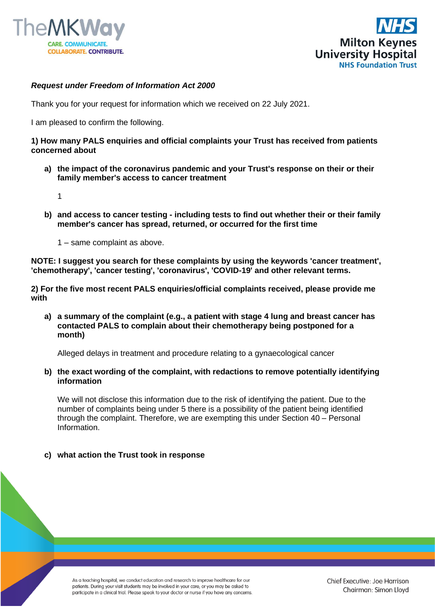



## *Request under Freedom of Information Act 2000*

Thank you for your request for information which we received on 22 July 2021.

I am pleased to confirm the following.

## **1) How many PALS enquiries and official complaints your Trust has received from patients concerned about**

- **a) the impact of the coronavirus pandemic and your Trust's response on their or their family member's access to cancer treatment** 
	- 1
- **b) and access to cancer testing - including tests to find out whether their or their family member's cancer has spread, returned, or occurred for the first time**
	- 1 same complaint as above.

**NOTE: I suggest you search for these complaints by using the keywords 'cancer treatment', 'chemotherapy', 'cancer testing', 'coronavirus', 'COVID-19' and other relevant terms.**

**2) For the five most recent PALS enquiries/official complaints received, please provide me with**

**a) a summary of the complaint (e.g., a patient with stage 4 lung and breast cancer has contacted PALS to complain about their chemotherapy being postponed for a month)**

Alleged delays in treatment and procedure relating to a gynaecological cancer

**b) the exact wording of the complaint, with redactions to remove potentially identifying information**

We will not disclose this information due to the risk of identifying the patient. Due to the number of complaints being under 5 there is a possibility of the patient being identified through the complaint. Therefore, we are exempting this under Section 40 – Personal Information.

## **c) what action the Trust took in response**

As a teaching hospital, we conduct education and research to improve healthcare for our patients. During your visit students may be involved in your care, or you may be asked to participate in a clinical trial. Please speak to your doctor or nurse if you have any concerns.